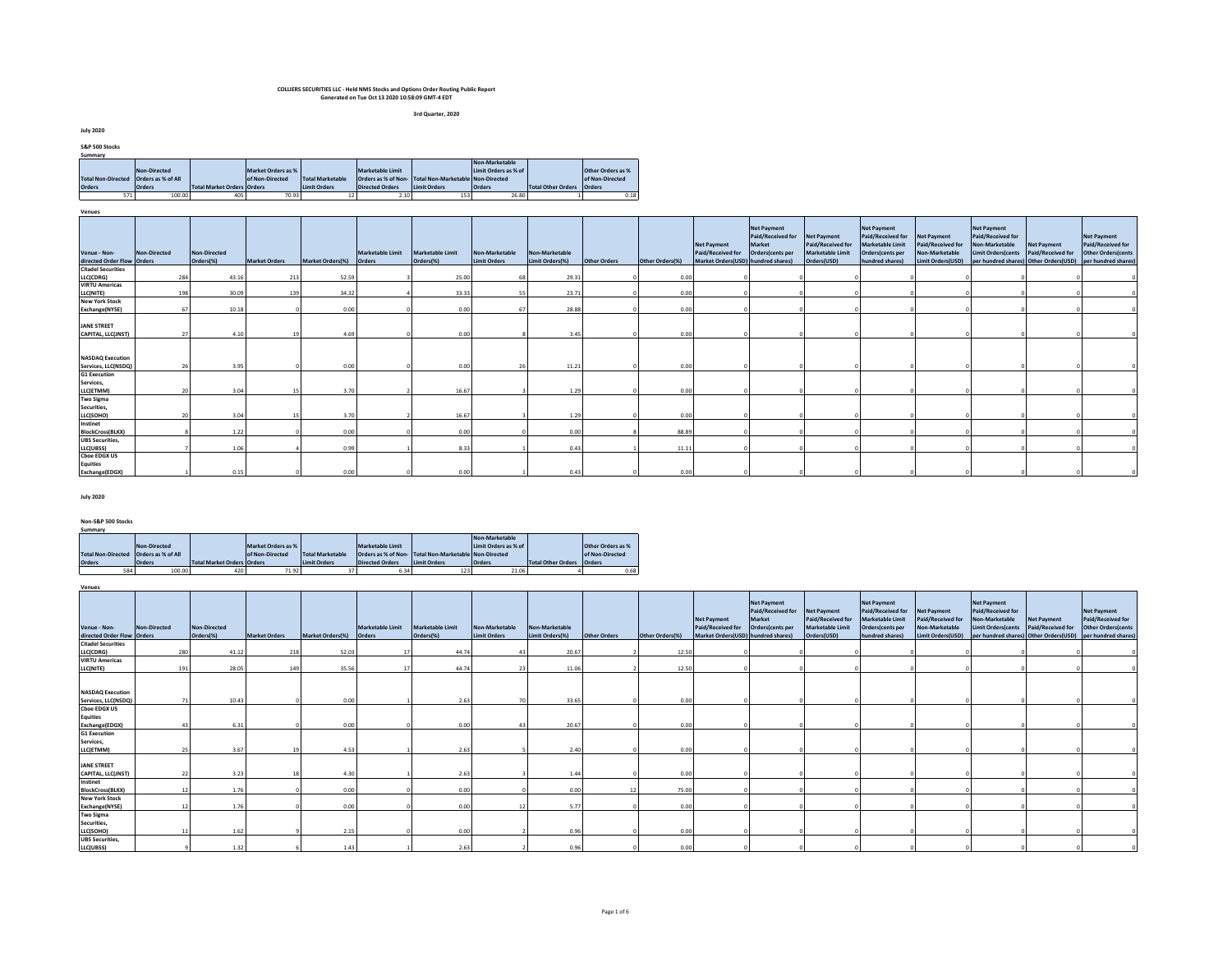**3rd Quarter, 2020**

**July 2020**

| S&P 500 Stocks                          |               |                                   |                    |                         |                        |                                                       |                      |                           |                          |
|-----------------------------------------|---------------|-----------------------------------|--------------------|-------------------------|------------------------|-------------------------------------------------------|----------------------|---------------------------|--------------------------|
| Summary                                 |               |                                   |                    |                         |                        |                                                       |                      |                           |                          |
|                                         |               |                                   |                    |                         |                        |                                                       | Non-Marketable       |                           |                          |
|                                         | Non-Directed  |                                   | Market Orders as % |                         | Marketable Limit       |                                                       | Limit Orders as % of |                           | <b>Other Orders as %</b> |
| Total Non-Directed   Orders as % of All |               |                                   | of Non-Directed    | <b>Total Marketable</b> |                        | Orders as % of Non- Total Non-Marketable Non-Directed |                      |                           | of Non-Directed          |
| <b>Orders</b>                           | <b>Orders</b> | <b>Total Market Orders Orders</b> |                    | <b>Limit Orders</b>     | <b>Directed Orders</b> | <b>Limit Orders</b>                                   | <b>Orders</b>        | <b>Total Other Orders</b> | <b>Orders</b>            |
| 571                                     | 100.00        | 405                               | 70.93              | 12                      | 2.10                   | 153                                                   | 26.80                |                           | 0.18                     |

**Venues**

| venues                                     |              |                           |                      |                         |                            |                                      |                                |                                   |              |                 |                                                                               |                                                                       |                                                                            |                                                                                                    |                                                                                |                                                                                         |                                         |                                                                                                                                    |
|--------------------------------------------|--------------|---------------------------|----------------------|-------------------------|----------------------------|--------------------------------------|--------------------------------|-----------------------------------|--------------|-----------------|-------------------------------------------------------------------------------|-----------------------------------------------------------------------|----------------------------------------------------------------------------|----------------------------------------------------------------------------------------------------|--------------------------------------------------------------------------------|-----------------------------------------------------------------------------------------|-----------------------------------------|------------------------------------------------------------------------------------------------------------------------------------|
| Venue - Non-<br>directed Order Flow Orders | Non-Directed | Non-Directed<br>Orders(%) | <b>Market Orders</b> | <b>Market Orders(%)</b> | Marketable Limit<br>Orders | <b>Marketable Limit</b><br>Orders(%) | Non-Marketable<br>Limit Orders | Non-Marketable<br>Limit Orders(%) | Other Orders | Other Orders(%) | <b>Net Payment</b><br>Paid/Received for<br>Market Orders(USD) hundred shares) | <b>Net Payment</b><br>Paid/Received for<br>Market<br>Orders(cents per | Net Payment<br>Paid/Received for<br><b>Marketable Limit</b><br>Orders(USD) | <b>Net Payment</b><br>Paid/Received for<br>Marketable Limit<br>Orders(cents per<br>hundred shares) | <b>Net Payment</b><br>Paid/Received for<br>Non-Marketable<br>Limit Orders(USD) | <b>Net Payment</b><br>Paid/Received for<br>Non-Marketable<br><b>Limit Orders</b> (cents | <b>Net Payment</b><br>Paid/Received for | <b>Net Payment</b><br>Paid/Received for<br><b>Other Orders (cents</b><br>per hundred shares) Other Orders(USD) per hundred shares) |
|                                            |              |                           |                      |                         |                            |                                      |                                |                                   |              |                 |                                                                               |                                                                       |                                                                            |                                                                                                    |                                                                                |                                                                                         |                                         |                                                                                                                                    |
| <b>Citadel Securities</b>                  |              |                           |                      |                         |                            |                                      |                                |                                   |              |                 |                                                                               |                                                                       |                                                                            |                                                                                                    |                                                                                |                                                                                         |                                         |                                                                                                                                    |
| LLC(CDRG)                                  | 284          | 43.16                     | 213                  | 52.59                   |                            | 25.00                                |                                | 29.31                             |              | 0.00            |                                                                               |                                                                       |                                                                            |                                                                                                    |                                                                                |                                                                                         |                                         |                                                                                                                                    |
| <b>VIRTU Americas</b>                      |              |                           |                      |                         |                            |                                      |                                |                                   |              |                 |                                                                               |                                                                       |                                                                            |                                                                                                    |                                                                                |                                                                                         |                                         |                                                                                                                                    |
| LLC(NITE)                                  | 198          | 30.09                     | 139                  | 34.32                   |                            | 33.33                                |                                | 23.71                             |              | 0.00            |                                                                               |                                                                       |                                                                            |                                                                                                    |                                                                                |                                                                                         |                                         |                                                                                                                                    |
| <b>New York Stock</b>                      |              |                           |                      |                         |                            |                                      |                                |                                   |              |                 |                                                                               |                                                                       |                                                                            |                                                                                                    |                                                                                |                                                                                         |                                         |                                                                                                                                    |
| Exchange(NYSE)                             |              | 10.18                     |                      | 0.00                    |                            | 0.00                                 |                                | 28.88                             |              | 0.00            |                                                                               |                                                                       |                                                                            |                                                                                                    |                                                                                |                                                                                         |                                         |                                                                                                                                    |
| <b>JANE STREET</b>                         |              |                           |                      |                         |                            |                                      |                                |                                   |              |                 |                                                                               |                                                                       |                                                                            |                                                                                                    |                                                                                |                                                                                         |                                         |                                                                                                                                    |
| CAPITAL, LLC(JNST)                         |              | 4.10                      |                      | 4.69                    |                            | 0.00                                 |                                | 3.45                              |              | 0.00            |                                                                               |                                                                       |                                                                            |                                                                                                    |                                                                                |                                                                                         |                                         |                                                                                                                                    |
|                                            |              |                           |                      |                         |                            |                                      |                                |                                   |              |                 |                                                                               |                                                                       |                                                                            |                                                                                                    |                                                                                |                                                                                         |                                         |                                                                                                                                    |
| <b>NASDAQ Execution</b>                    |              |                           |                      |                         |                            |                                      |                                |                                   |              |                 |                                                                               |                                                                       |                                                                            |                                                                                                    |                                                                                |                                                                                         |                                         |                                                                                                                                    |
| Services, LLC(NSDQ)                        |              | 3.95                      |                      | 0.00                    |                            | 0.00                                 |                                | 11.21                             |              | 0.00            |                                                                               |                                                                       |                                                                            |                                                                                                    |                                                                                |                                                                                         |                                         |                                                                                                                                    |
| <b>G1 Execution</b><br>Services,           |              |                           |                      |                         |                            |                                      |                                |                                   |              |                 |                                                                               |                                                                       |                                                                            |                                                                                                    |                                                                                |                                                                                         |                                         |                                                                                                                                    |
| LLC(ETMM)                                  |              | 3.04                      |                      | 3.70                    |                            | 16.67                                |                                | 1.29                              |              | 0.00            |                                                                               |                                                                       |                                                                            |                                                                                                    |                                                                                |                                                                                         |                                         |                                                                                                                                    |
| <b>Two Sigma</b><br>Securities,            |              |                           |                      |                         |                            |                                      |                                |                                   |              |                 |                                                                               |                                                                       |                                                                            |                                                                                                    |                                                                                |                                                                                         |                                         |                                                                                                                                    |
| LLC(SOHO)                                  |              | 3.04                      |                      | 3.70                    |                            | 16.67                                |                                | 1.29                              |              | 0.00            |                                                                               |                                                                       |                                                                            |                                                                                                    |                                                                                |                                                                                         |                                         |                                                                                                                                    |
| Instinet<br><b>BlockCross(BLKX)</b>        |              | 1.22                      |                      | 0.00                    |                            | 0.00                                 |                                | 0.00                              |              | 88.89           |                                                                               |                                                                       |                                                                            |                                                                                                    |                                                                                |                                                                                         |                                         |                                                                                                                                    |
| <b>UBS</b> Securities,                     |              |                           |                      |                         |                            |                                      |                                |                                   |              |                 |                                                                               |                                                                       |                                                                            |                                                                                                    |                                                                                |                                                                                         |                                         |                                                                                                                                    |
| LLC(UBSS)                                  |              | 1.06                      |                      | 0.99                    |                            | 8.33                                 |                                | 0.43                              |              | 11.11           |                                                                               |                                                                       |                                                                            |                                                                                                    |                                                                                |                                                                                         |                                         |                                                                                                                                    |
| <b>Choe EDGX US</b>                        |              |                           |                      |                         |                            |                                      |                                |                                   |              |                 |                                                                               |                                                                       |                                                                            |                                                                                                    |                                                                                |                                                                                         |                                         |                                                                                                                                    |
| <b>Equities</b>                            |              |                           |                      |                         |                            |                                      |                                |                                   |              |                 |                                                                               |                                                                       |                                                                            |                                                                                                    |                                                                                |                                                                                         |                                         |                                                                                                                                    |
| Exchange(EDGX)                             |              | 0.15                      |                      | 0.00                    |                            | 0.00                                 |                                | 0.43                              |              | 0.00            |                                                                               |                                                                       |                                                                            |                                                                                                    |                                                                                |                                                                                         |                                         |                                                                                                                                    |

#### **July 2020**

#### **Non-S&P 500 Stocks Summary**

| ---------                               |               |                            |                    |                     |                        |                                                       |                      |                             |                   |
|-----------------------------------------|---------------|----------------------------|--------------------|---------------------|------------------------|-------------------------------------------------------|----------------------|-----------------------------|-------------------|
|                                         |               |                            |                    |                     |                        |                                                       | Non-Marketable       |                             |                   |
|                                         | Non-Directed  |                            | Market Orders as % |                     | Marketable Limit       |                                                       | Limit Orders as % of |                             | Other Orders as % |
| Total Non-Directed   Orders as % of All |               |                            | of Non-Directed    | Total Marketable    |                        | Orders as % of Non- Total Non-Marketable Non-Directed |                      |                             | of Non-Directed   |
| <b>Orders</b>                           | <b>Orders</b> | Total Market Orders Orders |                    | <b>Limit Orders</b> | <b>Directed Orders</b> | Limit Orders                                          | <b>Orders</b>        | Total Other Orders   Orders |                   |
| 584                                     | 100.00        | 420                        | 71.92              |                     | 6.34                   | 123                                                   | 21.06                |                             | 0.68              |

| Venues                                        |              |                           |                      |                         |                                   |                                      |                                       |                                   |              |                 |                                                                               |                                                                       |                                                                            |                                                                                                           |                                                                                |                                                                                                                                                      |                                         |                                                                       |
|-----------------------------------------------|--------------|---------------------------|----------------------|-------------------------|-----------------------------------|--------------------------------------|---------------------------------------|-----------------------------------|--------------|-----------------|-------------------------------------------------------------------------------|-----------------------------------------------------------------------|----------------------------------------------------------------------------|-----------------------------------------------------------------------------------------------------------|--------------------------------------------------------------------------------|------------------------------------------------------------------------------------------------------------------------------------------------------|-----------------------------------------|-----------------------------------------------------------------------|
| Venue - Non-<br>directed Order Flow Orders    | Non-Directed | Non-Directed<br>Orders(%) | <b>Market Orders</b> | <b>Market Orders(%)</b> | Marketable Limit<br><b>Orders</b> | <b>Marketable Limit</b><br>Orders(%) | Non-Marketable<br><b>Limit Orders</b> | Non-Marketable<br>Limit Orders(%) | Other Orders | Other Orders(%) | <b>Net Payment</b><br>Paid/Received for<br>Market Orders(USD) hundred shares) | <b>Net Payment</b><br>Paid/Received for<br>Market<br>Orders(cents per | Net Payment<br>Paid/Received for<br><b>Marketable Limit</b><br>Orders(USD) | <b>Net Payment</b><br>Paid/Received for<br><b>Marketable Limit</b><br>Orders(cents per<br>hundred shares) | <b>Net Payment</b><br>Paid/Received for<br>Non-Marketable<br>Limit Orders(USD) | <b>Net Payment</b><br>Paid/Received for<br>Non-Marketable<br><b>Limit Orders</b> (cents<br>per hundred shares) Other Orders(USD) per hundred shares) | <b>Net Payment</b><br>Paid/Received for | <b>Net Payment</b><br>Paid/Received for<br><b>Other Orders (cents</b> |
| <b>Citadel Securities</b>                     |              |                           |                      |                         |                                   |                                      |                                       |                                   |              |                 |                                                                               |                                                                       |                                                                            |                                                                                                           |                                                                                |                                                                                                                                                      |                                         |                                                                       |
| LLC(CDRG)                                     | 280          | 41.12                     | 218                  | 52.03                   |                                   | 44.74                                |                                       | 20.67                             |              | 12.50           |                                                                               |                                                                       |                                                                            |                                                                                                           |                                                                                |                                                                                                                                                      |                                         |                                                                       |
| <b>VIRTU Americas</b>                         |              |                           |                      |                         |                                   |                                      |                                       |                                   |              |                 |                                                                               |                                                                       |                                                                            |                                                                                                           |                                                                                |                                                                                                                                                      |                                         |                                                                       |
| LLC(NITE)                                     | 191          | 28.05                     | 149                  | 35.56                   |                                   | 44.74                                |                                       | 11.06                             |              | 12.50           |                                                                               |                                                                       |                                                                            |                                                                                                           |                                                                                |                                                                                                                                                      |                                         |                                                                       |
| <b>NASDAQ Execution</b>                       |              |                           |                      |                         |                                   |                                      |                                       |                                   |              |                 |                                                                               |                                                                       |                                                                            |                                                                                                           |                                                                                |                                                                                                                                                      |                                         |                                                                       |
| Services, LLC(NSDQ)                           |              | 10.43                     |                      | 0.00                    |                                   | 2.63                                 |                                       | 33.65                             |              | 0.00            |                                                                               |                                                                       |                                                                            |                                                                                                           |                                                                                |                                                                                                                                                      |                                         |                                                                       |
| <b>Choe EDGX US</b><br><b>Equities</b>        |              |                           |                      |                         |                                   |                                      |                                       |                                   |              |                 |                                                                               |                                                                       |                                                                            |                                                                                                           |                                                                                |                                                                                                                                                      |                                         |                                                                       |
| Exchange(EDGX)                                |              | 6.31                      |                      | 0.00                    |                                   | 0.00                                 |                                       | 20.67                             |              | 0.00            |                                                                               |                                                                       |                                                                            |                                                                                                           |                                                                                |                                                                                                                                                      |                                         |                                                                       |
| <b>G1 Execution</b><br>Services,<br>LLC(ETMM) |              | 3.67                      | 19                   | 4.53                    |                                   | 2.63                                 |                                       | 2.40                              |              | 0.00            |                                                                               |                                                                       |                                                                            |                                                                                                           |                                                                                |                                                                                                                                                      |                                         |                                                                       |
| <b>JANE STREET</b>                            |              |                           |                      |                         |                                   |                                      |                                       |                                   |              |                 |                                                                               |                                                                       |                                                                            |                                                                                                           |                                                                                |                                                                                                                                                      |                                         |                                                                       |
| CAPITAL, LLC(JNST)                            | 22           | 3.23                      |                      | 4.30                    |                                   | 2.63                                 |                                       | 1.44                              |              | 0.00            |                                                                               |                                                                       |                                                                            |                                                                                                           |                                                                                |                                                                                                                                                      |                                         |                                                                       |
| Instinet                                      |              |                           |                      |                         |                                   |                                      |                                       |                                   |              |                 |                                                                               |                                                                       |                                                                            |                                                                                                           |                                                                                |                                                                                                                                                      |                                         |                                                                       |
| <b>BlockCross(BLKX)</b>                       |              | 1.76                      |                      | 0.00                    |                                   | 0.00                                 |                                       | 0.00                              |              | 75.00           |                                                                               |                                                                       |                                                                            |                                                                                                           |                                                                                |                                                                                                                                                      |                                         |                                                                       |
| <b>New York Stock</b>                         |              |                           |                      |                         |                                   |                                      |                                       |                                   |              |                 |                                                                               |                                                                       |                                                                            |                                                                                                           |                                                                                |                                                                                                                                                      |                                         |                                                                       |
| Exchange(NYSE)                                |              | 1.76                      |                      | 0.00                    |                                   | 0.00                                 |                                       | 5.77                              |              | 0.00            |                                                                               |                                                                       |                                                                            |                                                                                                           |                                                                                |                                                                                                                                                      |                                         |                                                                       |
| <b>Two Sigma</b><br>Securities,<br>LLC(SOHO)  |              | 1.62                      |                      | 2.15                    |                                   | 0.00                                 |                                       | 0.96                              |              | 0.00            |                                                                               |                                                                       |                                                                            |                                                                                                           |                                                                                |                                                                                                                                                      |                                         |                                                                       |
| <b>UBS Securities</b>                         |              |                           |                      |                         |                                   |                                      |                                       |                                   |              |                 |                                                                               |                                                                       |                                                                            |                                                                                                           |                                                                                |                                                                                                                                                      |                                         |                                                                       |
| LLC(UBSS)                                     |              | 1.32                      |                      | 1.43                    |                                   | 2.63                                 |                                       | 0.96                              |              | 0.00            |                                                                               |                                                                       |                                                                            |                                                                                                           |                                                                                |                                                                                                                                                      |                                         |                                                                       |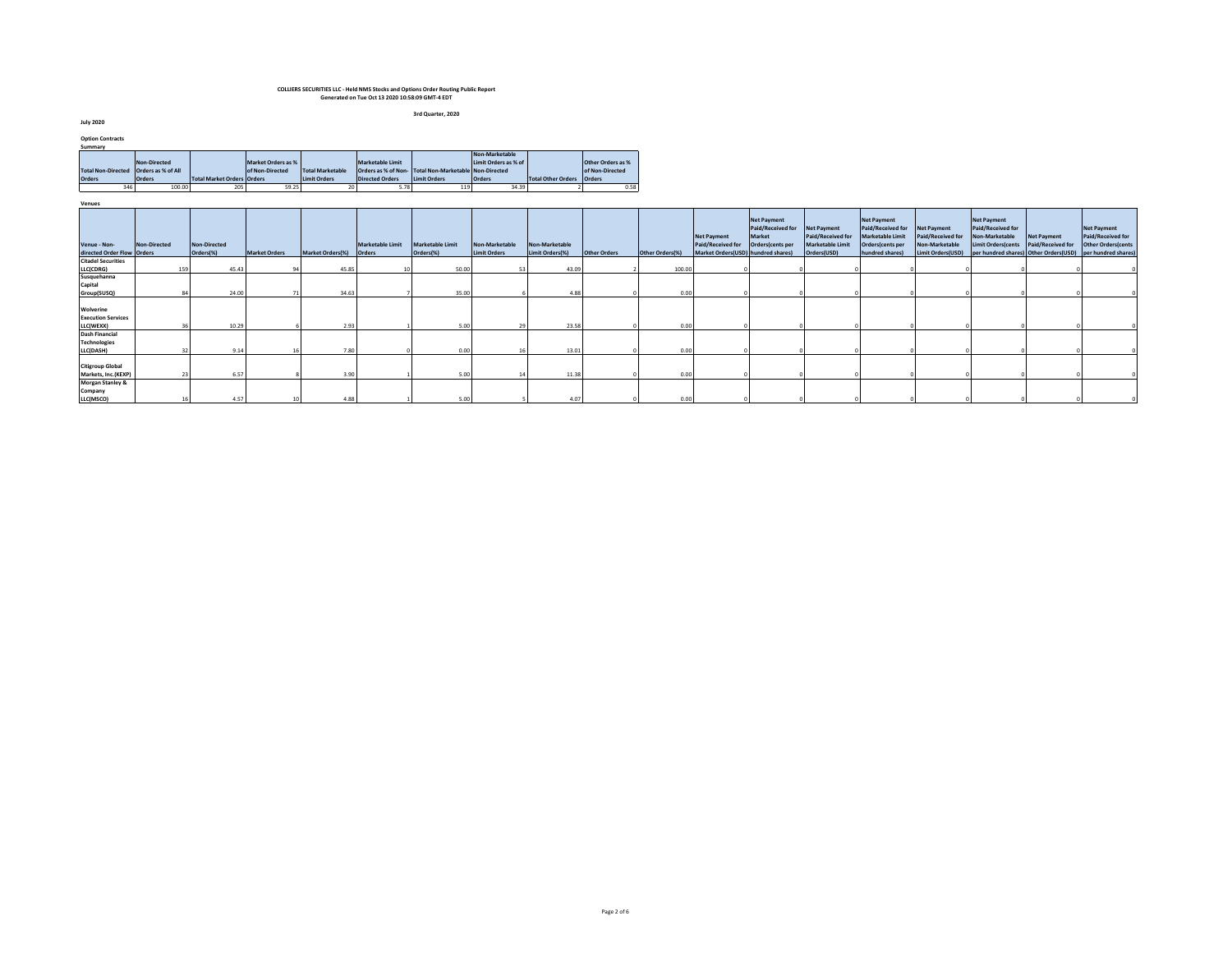**3rd Quarter, 2020**

**July 2020**

| <b>Option Contracts</b> |  |
|-------------------------|--|
|-------------------------|--|

| Summary       |                                         |                            |                    |                         |                         |                                                       |                      |                    |                   |
|---------------|-----------------------------------------|----------------------------|--------------------|-------------------------|-------------------------|-------------------------------------------------------|----------------------|--------------------|-------------------|
|               |                                         |                            |                    |                         |                         |                                                       | Non-Marketable       |                    |                   |
|               | Non-Directed                            |                            | Market Orders as % |                         | <b>Marketable Limit</b> |                                                       | Limit Orders as % of |                    | Other Orders as % |
|               | Total Non-Directed   Orders as % of All |                            | of Non-Directed    | <b>Total Marketable</b> |                         | Orders as % of Non- Total Non-Marketable Non-Directed |                      |                    | of Non-Directed   |
| <b>Orders</b> | <b>Orders</b>                           | Total Market Orders Orders |                    | <b>Limit Orders</b>     | <b>Directed Orders</b>  | Limit Orders                                          | <b>Orders</b>        | Total Other Orders | Orders            |
|               | 346<br>100.00                           | 205                        | 59.25              | 20                      | 5.78                    | 119                                                   | 34.39                |                    | 0.58              |

| Venues                                              |              |                           |                      |                         |                         |                                      |                                |                                   |                     |                 |                                                                               |                                                                |                                                                            |                                                                                                    |                                                                                |                                                                                                                                                      |                                         |                                                                       |
|-----------------------------------------------------|--------------|---------------------------|----------------------|-------------------------|-------------------------|--------------------------------------|--------------------------------|-----------------------------------|---------------------|-----------------|-------------------------------------------------------------------------------|----------------------------------------------------------------|----------------------------------------------------------------------------|----------------------------------------------------------------------------------------------------|--------------------------------------------------------------------------------|------------------------------------------------------------------------------------------------------------------------------------------------------|-----------------------------------------|-----------------------------------------------------------------------|
| Venue - Non-<br>directed Order Flow Orders          | Non-Directed | Non-Directed<br>Orders(%) | <b>Market Orders</b> | Market Orders(%) Orders | <b>Marketable Limit</b> | <b>Marketable Limit</b><br>Orders(%) | Non-Marketable<br>Limit Orders | Non-Marketable<br>Limit Orders(%) | <b>Other Orders</b> | Other Orders(%) | <b>Net Payment</b><br>Paid/Received for<br>Market Orders(USD) hundred shares) | Net Payment<br>Paid/Received for<br>Market<br>Orders(cents per | Net Payment<br>Paid/Received for<br><b>Marketable Limit</b><br>Orders(USD) | <b>Net Payment</b><br>Paid/Received for<br>Marketable Limit<br>Orders(cents per<br>hundred shares) | <b>Net Payment</b><br>Paid/Received for<br>Non-Marketable<br>Limit Orders(USD) | <b>Net Payment</b><br>Paid/Received for<br>Non-Marketable<br><b>Limit Orders (cents</b><br>per hundred shares) Other Orders(USD) per hundred shares) | <b>Net Payment</b><br>Paid/Received for | <b>Net Payment</b><br>Paid/Received for<br><b>Other Orders (cents</b> |
| <b>Citadel Securities</b>                           |              |                           |                      |                         |                         |                                      |                                |                                   |                     |                 |                                                                               |                                                                |                                                                            |                                                                                                    |                                                                                |                                                                                                                                                      |                                         |                                                                       |
| LLC(CDRG)                                           | 159          | 45.43                     |                      | 45.85                   | 10                      | 50.00                                |                                | 43.09                             |                     | 100.00          |                                                                               |                                                                |                                                                            |                                                                                                    |                                                                                |                                                                                                                                                      |                                         |                                                                       |
| Susquehanna                                         |              |                           |                      |                         |                         |                                      |                                |                                   |                     |                 |                                                                               |                                                                |                                                                            |                                                                                                    |                                                                                |                                                                                                                                                      |                                         |                                                                       |
| Capital                                             |              |                           |                      |                         |                         |                                      |                                |                                   |                     |                 |                                                                               |                                                                |                                                                            |                                                                                                    |                                                                                |                                                                                                                                                      |                                         |                                                                       |
| Group(SUSQ)                                         |              | 24.00                     |                      | 34.63                   |                         | 35.00                                |                                | 4.88                              |                     | 0.00            |                                                                               |                                                                |                                                                            |                                                                                                    |                                                                                |                                                                                                                                                      |                                         |                                                                       |
| Wolverine<br><b>Execution Services</b>              |              |                           |                      |                         |                         |                                      |                                |                                   |                     |                 |                                                                               |                                                                |                                                                            |                                                                                                    |                                                                                |                                                                                                                                                      |                                         |                                                                       |
| LLC(WEXX)                                           |              | 10.29                     |                      | 2.93                    |                         | 5.00                                 |                                | 23.58                             |                     | 0.00            |                                                                               |                                                                |                                                                            |                                                                                                    |                                                                                |                                                                                                                                                      |                                         |                                                                       |
| <b>Dash Financial</b><br><b>Technologies</b>        |              |                           |                      |                         |                         |                                      |                                |                                   |                     |                 |                                                                               |                                                                |                                                                            |                                                                                                    |                                                                                |                                                                                                                                                      |                                         |                                                                       |
| LLC(DASH)                                           |              | 9.14                      |                      | 7.80                    |                         | 0.00                                 |                                | 13.01                             |                     | 0.00            |                                                                               |                                                                |                                                                            |                                                                                                    |                                                                                |                                                                                                                                                      |                                         |                                                                       |
| <b>Citigroup Global</b><br>Markets, Inc.(KEXP)      |              | 6.57                      |                      | 3.90                    |                         | 5.00                                 |                                | 11.38                             |                     | 0.00            |                                                                               |                                                                |                                                                            |                                                                                                    |                                                                                |                                                                                                                                                      |                                         |                                                                       |
| <b>Morgan Stanley &amp;</b><br>Company<br>LLC(MSCO) |              | 4.57                      |                      | 4.88                    |                         | 5.00                                 |                                | 4.07                              |                     | 0.00            |                                                                               |                                                                |                                                                            |                                                                                                    |                                                                                |                                                                                                                                                      |                                         |                                                                       |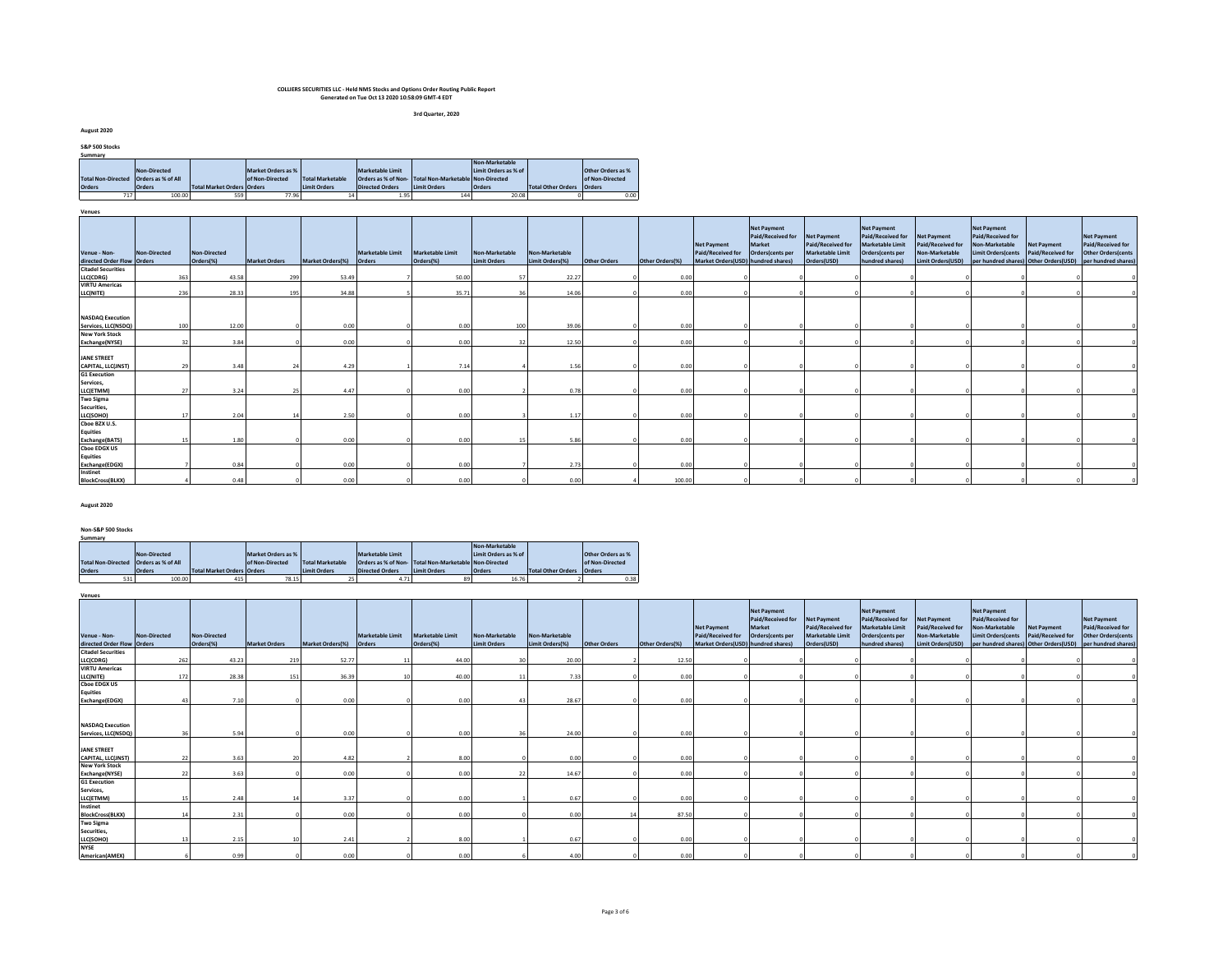**3rd Quarter, 2020**

**August 2020**

| S&P 500 Stocks                          |                     |                                   |                    |                         |                         |                                                       |                      |                    |                   |
|-----------------------------------------|---------------------|-----------------------------------|--------------------|-------------------------|-------------------------|-------------------------------------------------------|----------------------|--------------------|-------------------|
| Summary                                 |                     |                                   |                    |                         |                         |                                                       |                      |                    |                   |
|                                         |                     |                                   |                    |                         |                         |                                                       | Non-Marketable       |                    |                   |
|                                         | <b>Non-Directed</b> |                                   | Market Orders as % |                         | <b>Marketable Limit</b> |                                                       | Limit Orders as % of |                    | Other Orders as % |
| Total Non-Directed   Orders as % of All |                     |                                   | of Non-Directed    | <b>Total Marketable</b> |                         | Orders as % of Non- Total Non-Marketable Non-Directed |                      |                    | of Non-Directed   |
| <b>Orders</b>                           | <b>Orders</b>       | <b>Total Market Orders Orders</b> |                    | <b>Limit Orders</b>     | <b>Directed Orders</b>  | <b>Limit Orders</b>                                   | <b>Orders</b>        | Total Other Orders | <b>Orders</b>     |
|                                         | 100.00              | 559                               | 77.96              | 14                      | 1.95                    | 144                                                   | 20.08                |                    | 0.00              |

**Venues**

| ACIINCZ                                                                      |              |                           |                      |                         |                  |                               |                                       |                                   |              |                 |                                                                               |                                                                       |                                                                                   |                                                                                                           |                                                                                |                                                                                         |                                         |                                                                                                                                    |
|------------------------------------------------------------------------------|--------------|---------------------------|----------------------|-------------------------|------------------|-------------------------------|---------------------------------------|-----------------------------------|--------------|-----------------|-------------------------------------------------------------------------------|-----------------------------------------------------------------------|-----------------------------------------------------------------------------------|-----------------------------------------------------------------------------------------------------------|--------------------------------------------------------------------------------|-----------------------------------------------------------------------------------------|-----------------------------------------|------------------------------------------------------------------------------------------------------------------------------------|
| Venue - Non-<br>directed Order Flow Orders                                   | Non-Directed | Non-Directed<br>Orders(%) | <b>Market Orders</b> | Market Orders(%) Orders | Marketable Limit | Marketable Limit<br>Orders(%) | Non-Marketable<br><b>Limit Orders</b> | Non-Marketable<br>Limit Orders(%) | Other Orders | Other Orders(%) | <b>Net Payment</b><br>Paid/Received for<br>Market Orders(USD) hundred shares) | <b>Net Payment</b><br>Paid/Received for<br>Market<br>Orders(cents per | <b>Net Payment</b><br>Paid/Received for<br><b>Marketable Limit</b><br>Orders(USD) | <b>Net Payment</b><br>Paid/Received for<br><b>Marketable Limit</b><br>Orders(cents per<br>hundred shares) | <b>Net Payment</b><br>Paid/Received for<br>Non-Marketable<br>Limit Orders(USD) | <b>Net Payment</b><br>Paid/Received for<br>Non-Marketable<br><b>Limit Orders</b> (cents | <b>Net Payment</b><br>Paid/Received for | <b>Net Payment</b><br>Paid/Received for<br><b>Other Orders (cents</b><br>per hundred shares) Other Orders(USD) per hundred shares) |
| <b>Citadel Securities</b>                                                    |              |                           |                      |                         |                  |                               |                                       |                                   |              |                 |                                                                               |                                                                       |                                                                                   |                                                                                                           |                                                                                |                                                                                         |                                         |                                                                                                                                    |
| LLC(CDRG)                                                                    | 363          | 43.58                     | 299                  | 53.49                   |                  | 50.00                         |                                       | 22.27                             |              | 0.00            |                                                                               |                                                                       |                                                                                   |                                                                                                           |                                                                                |                                                                                         |                                         |                                                                                                                                    |
| <b>VIRTU Americas</b>                                                        |              |                           |                      |                         |                  |                               |                                       |                                   |              |                 |                                                                               |                                                                       |                                                                                   |                                                                                                           |                                                                                |                                                                                         |                                         |                                                                                                                                    |
| LLC(NITE)                                                                    | 236          | 28.33                     | 195                  | 34.88                   |                  | 35.71                         |                                       | 14.06                             |              | 0.00            |                                                                               |                                                                       |                                                                                   |                                                                                                           |                                                                                |                                                                                         |                                         |                                                                                                                                    |
| <b>NASDAQ Execution</b><br>Services, LLC(NSDQ)                               | 100          | 12.00                     |                      | 0.00                    |                  | 0.00                          | 100                                   | 39.06                             |              | 0.00            |                                                                               |                                                                       |                                                                                   |                                                                                                           |                                                                                |                                                                                         |                                         |                                                                                                                                    |
| <b>New York Stock</b>                                                        |              |                           |                      |                         |                  |                               |                                       |                                   |              |                 |                                                                               |                                                                       |                                                                                   |                                                                                                           |                                                                                |                                                                                         |                                         |                                                                                                                                    |
| Exchange(NYSE)                                                               |              | 3.84<br>32                |                      | 0.00                    |                  | 0.00                          |                                       | 12.50                             |              | 0.00            |                                                                               |                                                                       |                                                                                   |                                                                                                           |                                                                                |                                                                                         |                                         |                                                                                                                                    |
| <b>JANE STREET</b><br>CAPITAL, LLC(JNST)<br><b>G1 Execution</b><br>Services, |              | 29<br>3.48                |                      | 4.29                    |                  | 7.14                          |                                       | 1.56                              |              | 0.00            |                                                                               |                                                                       |                                                                                   |                                                                                                           |                                                                                |                                                                                         |                                         |                                                                                                                                    |
| LLC(ETMM)                                                                    |              | 3.24<br>27                |                      | 4.47                    |                  | 0.00                          |                                       | 0.78                              |              | 0.00            |                                                                               |                                                                       |                                                                                   |                                                                                                           |                                                                                |                                                                                         |                                         |                                                                                                                                    |
| <b>Two Sigma</b><br>Securities,<br>LLC(SOHO)                                 | 17           | 2.04                      |                      | 2.50                    |                  | 0.00                          |                                       | 1.17                              |              | 0.00            |                                                                               |                                                                       |                                                                                   |                                                                                                           |                                                                                |                                                                                         |                                         |                                                                                                                                    |
| Choe BZX U.S.<br><b>Equities</b><br>Exchange(BATS)                           |              | 1.80<br>15                |                      | 0.00                    |                  | 0.00                          |                                       | 5.86                              |              | 0.00            |                                                                               |                                                                       |                                                                                   |                                                                                                           |                                                                                |                                                                                         |                                         |                                                                                                                                    |
| <b>Choe EDGX US</b><br><b>Equities</b><br>Exchange(EDGX)                     |              | 0.84                      |                      | 0.00                    |                  | 0.00                          |                                       | 2.73                              |              | 0.00            |                                                                               |                                                                       |                                                                                   |                                                                                                           |                                                                                |                                                                                         |                                         |                                                                                                                                    |
| Instinet<br><b>BlockCross(BLKX)</b>                                          |              | 0.48                      |                      | 0.00                    |                  | 0.00                          |                                       | 0.00                              |              | 100.00          |                                                                               |                                                                       |                                                                                   |                                                                                                           |                                                                                |                                                                                         |                                         |                                                                                                                                    |

#### **August 2020**

**Venues**

**Non-S&P 500 Stocks Summary**

|                                         |               |                            |                    |                         |                        |                                                       | Non-Marketable       |                    |                   |
|-----------------------------------------|---------------|----------------------------|--------------------|-------------------------|------------------------|-------------------------------------------------------|----------------------|--------------------|-------------------|
|                                         | Non-Directed  |                            | Market Orders as % |                         | Marketable Limit       |                                                       | Limit Orders as % of |                    | Other Orders as % |
| Total Non-Directed   Orders as % of All |               |                            | of Non-Directed    | <b>Total Marketable</b> |                        | Orders as % of Non- Total Non-Marketable Non-Directed |                      |                    | of Non-Directed   |
| <b>Orders</b>                           | <b>Orders</b> | Total Market Orders Orders |                    | Limit Orders            | <b>Directed Orders</b> | <b>Limit Orders</b>                                   | <b>Orders</b>        | Total Other Orders | <b>Orders</b>     |
| 531                                     | 100.00        | 415                        | 78.15              |                         |                        | 89                                                    | 16.76                |                    | 0.38              |

| Venue - Non-                                   | Non-Directed | Non-Directed |                      |                         | Marketable Limit | <b>Marketable Limit</b> | Non-Marketable      | Non-Marketable  |              |                 | <b>Net Payment</b><br>Paid/Received for | Net Payment<br>Paid/Received for<br>Market<br>Orders(cents per | <b>Net Payment</b><br>Paid/Received for<br><b>Marketable Limit</b> | <b>Net Payment</b><br>Paid/Received for<br><b>Marketable Limit</b><br>Orders(cents per | <b>Net Payment</b><br>Paid/Received for<br>Non-Marketable | <b>Net Payment</b><br>Paid/Received for<br>Non-Marketable<br><b>Limit Orders(cents</b> | <b>Net Payment</b><br>Paid/Received for | <b>Net Payment</b><br>Paid/Received for<br>Other Orders(cents |
|------------------------------------------------|--------------|--------------|----------------------|-------------------------|------------------|-------------------------|---------------------|-----------------|--------------|-----------------|-----------------------------------------|----------------------------------------------------------------|--------------------------------------------------------------------|----------------------------------------------------------------------------------------|-----------------------------------------------------------|----------------------------------------------------------------------------------------|-----------------------------------------|---------------------------------------------------------------|
| directed Order Flow Orders                     |              | Orders(%)    | <b>Market Orders</b> | <b>Market Orders(%)</b> | Orders           | Orders(%)               | <b>Limit Orders</b> | Limit Orders(%) | Other Orders | Other Orders(%) | Market Orders(USD) hundred shares)      |                                                                | Orders(USD)                                                        | hundred shares)                                                                        | Limit Orders(USD)                                         |                                                                                        |                                         | per hundred shares) Other Orders(USD) per hundred shares)     |
| <b>Citadel Securities</b>                      |              |              |                      |                         |                  |                         |                     |                 |              |                 |                                         |                                                                |                                                                    |                                                                                        |                                                           |                                                                                        |                                         |                                                               |
| LLC(CDRG)                                      | 262          | 43.23        | 219                  | 52.77                   |                  | 44.00                   |                     | 20.00           |              | 12.50           |                                         |                                                                |                                                                    |                                                                                        |                                                           |                                                                                        |                                         |                                                               |
| <b>VIRTU Americas</b>                          |              |              |                      |                         |                  |                         |                     |                 |              |                 |                                         |                                                                |                                                                    |                                                                                        |                                                           |                                                                                        |                                         |                                                               |
| LLC(NITE)                                      | 172          | 28.38        | 151                  | 36.39                   |                  | 40.00                   |                     | 7.33            |              | 0.00            |                                         |                                                                |                                                                    |                                                                                        |                                                           |                                                                                        |                                         |                                                               |
| <b>Choe EDGX US</b>                            |              |              |                      |                         |                  |                         |                     |                 |              |                 |                                         |                                                                |                                                                    |                                                                                        |                                                           |                                                                                        |                                         |                                                               |
| <b>Equities</b>                                |              |              |                      |                         |                  |                         |                     |                 |              |                 |                                         |                                                                |                                                                    |                                                                                        |                                                           |                                                                                        |                                         |                                                               |
| Exchange(EDGX)                                 |              | 7.10         |                      | 0.00                    |                  | 0.00                    |                     | 28.67           |              | 0.00            |                                         |                                                                |                                                                    |                                                                                        |                                                           |                                                                                        |                                         |                                                               |
| <b>NASDAQ Execution</b><br>Services, LLC(NSDQ) |              | 5.94         |                      | 0.00                    |                  | 0.00                    |                     | 24.00           |              | 0.00            |                                         |                                                                |                                                                    |                                                                                        |                                                           |                                                                                        |                                         |                                                               |
| <b>JANE STREET</b><br>CAPITAL, LLC(JNST)       | 22           | 3.63         |                      | 4.82                    |                  | 8.00                    |                     | 0.00            |              | 0.00            |                                         |                                                                |                                                                    |                                                                                        |                                                           |                                                                                        |                                         |                                                               |
| <b>New York Stock</b>                          |              |              |                      |                         |                  |                         |                     |                 |              |                 |                                         |                                                                |                                                                    |                                                                                        |                                                           |                                                                                        |                                         |                                                               |
| Exchange(NYSE)                                 |              | 3.63         |                      | 0.00                    |                  | 0.00                    |                     | 14.67           |              | 0.00            |                                         |                                                                |                                                                    |                                                                                        |                                                           |                                                                                        |                                         |                                                               |
| <b>G1 Execution</b><br>Services,<br>LLC(ETMM)  |              | 2.48         |                      | 3.37                    |                  | 0.00                    |                     | 0.67            |              | 0.00            |                                         |                                                                |                                                                    |                                                                                        |                                                           |                                                                                        |                                         |                                                               |
| Instinet<br><b>BlockCross(BLKX)</b>            |              | 2.31         |                      | 0.00                    |                  | 0.00                    |                     | 0.00            |              | 87.50           |                                         |                                                                |                                                                    |                                                                                        |                                                           |                                                                                        |                                         |                                                               |
| <b>Two Sigma</b><br>Securities,<br>LLC(SOHO)   |              | 2.15         |                      | 2.41                    |                  | 8.00                    |                     | 0.67            |              | 0.00            |                                         |                                                                |                                                                    |                                                                                        |                                                           |                                                                                        |                                         |                                                               |
| <b>NYSE</b><br>American(AMEX)                  |              | 0.99         |                      | 0.00                    |                  | 0.00                    |                     | 4.00            |              | 0.00            |                                         |                                                                |                                                                    |                                                                                        |                                                           |                                                                                        |                                         |                                                               |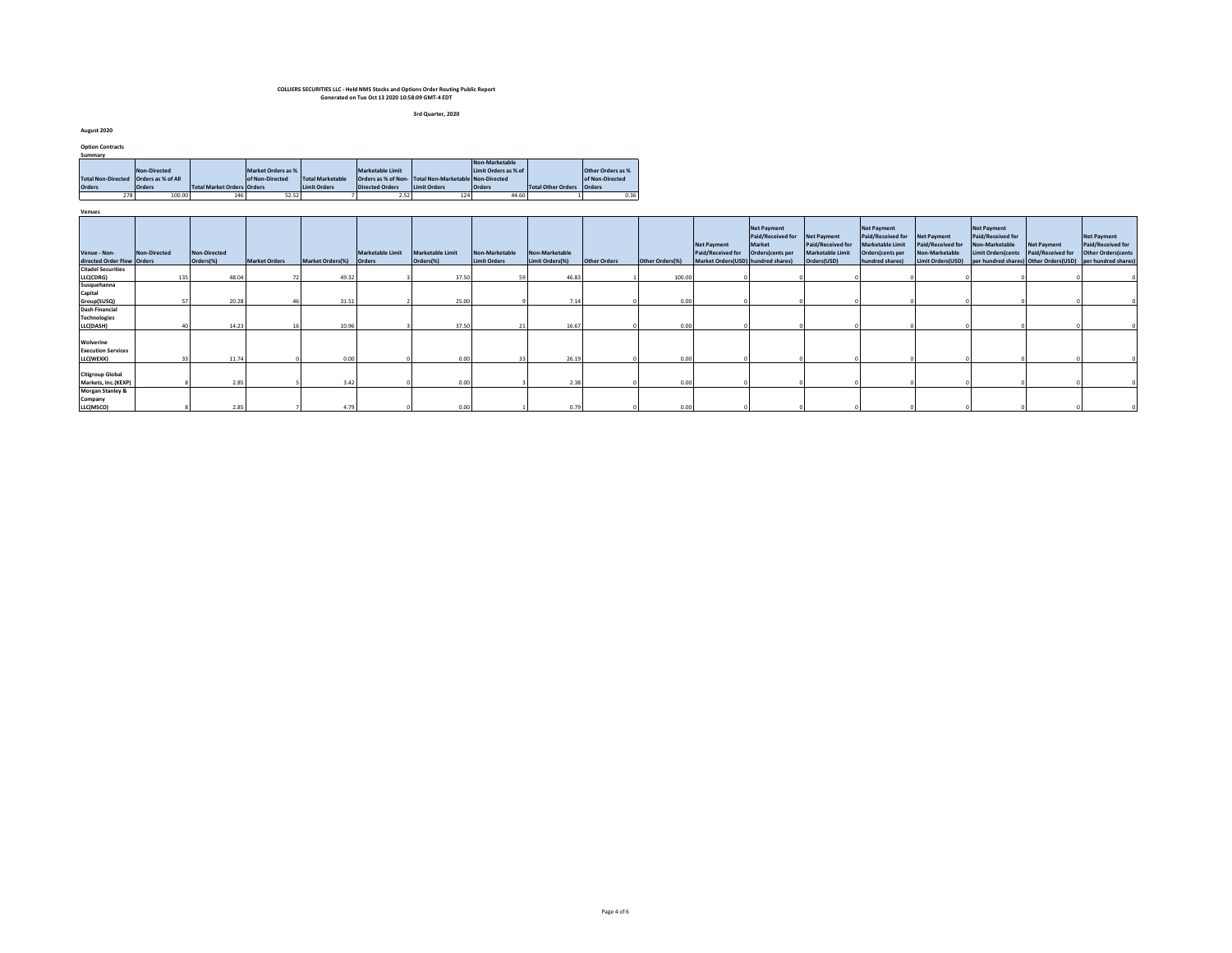**3rd Quarter, 2020**

**August 2020**

| <b>Option Contracts</b>   |                    |                                   |                    |                         |                         |                                                      |                      |                           |                   |
|---------------------------|--------------------|-----------------------------------|--------------------|-------------------------|-------------------------|------------------------------------------------------|----------------------|---------------------------|-------------------|
| Summary                   |                    |                                   |                    |                         |                         |                                                      |                      |                           |                   |
|                           |                    |                                   |                    |                         |                         |                                                      | Non-Marketable       |                           |                   |
|                           | Non-Directed       |                                   | Market Orders as % |                         | <b>Marketable Limit</b> |                                                      | Limit Orders as % of |                           | Other Orders as % |
| <b>Total Non-Directed</b> | Orders as % of All |                                   | of Non-Directed    | <b>Total Marketable</b> |                         | Orders as % of Non-Total Non-Marketable Non-Directed |                      |                           | of Non-Directed   |
| <b>Orders</b>             | <b>Orders</b>      | <b>Total Market Orders Orders</b> |                    | <b>Limit Orders</b>     | <b>Directed Orders</b>  | Limit Orders                                         | <b>Orders</b>        | Total Other Orders Orders |                   |
| 278                       | 100.00             | 146                               | 52.52              |                         | 2.52                    | 124                                                  | 44.60                |                           | 0.36              |
|                           |                    |                                   |                    |                         |                         |                                                      |                      |                           |                   |
| Venues                    |                    |                                   |                    |                         |                         |                                                      |                      |                           |                   |

| venues                                              |                     |                                  |       |                      |                         |                                   |                                      |                                       |                                   |                     |                 |                                                                                      |                                                                       |                                                                            |                                                                                                    |                                                                                |                                                                                                                                                       |                                         |                                                                       |
|-----------------------------------------------------|---------------------|----------------------------------|-------|----------------------|-------------------------|-----------------------------------|--------------------------------------|---------------------------------------|-----------------------------------|---------------------|-----------------|--------------------------------------------------------------------------------------|-----------------------------------------------------------------------|----------------------------------------------------------------------------|----------------------------------------------------------------------------------------------------|--------------------------------------------------------------------------------|-------------------------------------------------------------------------------------------------------------------------------------------------------|-----------------------------------------|-----------------------------------------------------------------------|
| Venue - Non-<br>directed Order Flow Orders          | <b>Non-Directed</b> | <b>Non-Directed</b><br>Orders(%) |       | <b>Market Orders</b> | <b>Market Orders(%)</b> | <b>Marketable Limit</b><br>Orders | <b>Marketable Limit</b><br>Orders(%) | Non-Marketable<br><b>Limit Orders</b> | Non-Marketable<br>Limit Orders(%) | <b>Other Orders</b> | Other Orders(%) | <b>Net Payment</b><br><b>Paid/Received for</b><br>Market Orders(USD) hundred shares) | <b>Net Payment</b><br>Paid/Received for<br>Market<br>Orders(cents per | Net Payment<br>Paid/Received for<br><b>Marketable Limit</b><br>Orders(USD) | <b>Net Payment</b><br>Paid/Received for<br>Marketable Limit<br>Orders(cents per<br>hundred shares) | <b>Net Payment</b><br>Paid/Received for<br>Non-Marketable<br>Limit Orders(USD) | <b>Net Payment</b><br>Paid/Received for<br>Non-Marketable<br><b>Limit Orders (cents</b><br>per hundred shares) Other Orders (USD) per hundred shares) | Net Payment<br><b>Paid/Received for</b> | <b>Net Payment</b><br>Paid/Received for<br><b>Other Orders (cents</b> |
| <b>Citadel Securities</b>                           |                     |                                  |       |                      |                         |                                   |                                      |                                       |                                   |                     |                 |                                                                                      |                                                                       |                                                                            |                                                                                                    |                                                                                |                                                                                                                                                       |                                         |                                                                       |
| LLC(CDRG)                                           | 135                 |                                  | 48.04 |                      | 49.32                   |                                   | 37.50                                |                                       | 46.83                             |                     | 100.00          |                                                                                      |                                                                       |                                                                            |                                                                                                    |                                                                                |                                                                                                                                                       |                                         |                                                                       |
| Susquehanna<br>Capital                              |                     |                                  |       |                      |                         |                                   |                                      |                                       |                                   |                     |                 |                                                                                      |                                                                       |                                                                            |                                                                                                    |                                                                                |                                                                                                                                                       |                                         |                                                                       |
| Group(SUSQ)                                         |                     |                                  | 20.28 |                      | 31.51                   |                                   | 25.00                                |                                       | 7.14                              |                     | 0.00            |                                                                                      |                                                                       |                                                                            |                                                                                                    |                                                                                |                                                                                                                                                       |                                         |                                                                       |
| <b>Dash Financial</b><br><b>Technologies</b>        |                     |                                  |       |                      |                         |                                   |                                      |                                       |                                   |                     |                 |                                                                                      |                                                                       |                                                                            |                                                                                                    |                                                                                |                                                                                                                                                       |                                         |                                                                       |
| LLC(DASH)                                           |                     |                                  | 14.23 |                      | 10.96                   |                                   | 37.50                                |                                       | 16.67                             |                     | 0.00            |                                                                                      |                                                                       |                                                                            |                                                                                                    |                                                                                |                                                                                                                                                       |                                         |                                                                       |
| Wolverine<br><b>Execution Services</b><br>LLC(WEXX) |                     |                                  | 11.74 |                      | 0.00                    |                                   | 0.00                                 |                                       | 26.19                             |                     | 0.00            |                                                                                      |                                                                       |                                                                            |                                                                                                    |                                                                                |                                                                                                                                                       |                                         |                                                                       |
| <b>Citigroup Global</b><br>Markets, Inc.(KEXP)      |                     |                                  | 2.85  |                      | 3.42                    |                                   | 0.00                                 |                                       | 2.38                              |                     | 0.00            |                                                                                      |                                                                       |                                                                            |                                                                                                    |                                                                                |                                                                                                                                                       |                                         |                                                                       |
| <b>Morgan Stanley &amp;</b>                         |                     |                                  |       |                      |                         |                                   |                                      |                                       |                                   |                     |                 |                                                                                      |                                                                       |                                                                            |                                                                                                    |                                                                                |                                                                                                                                                       |                                         |                                                                       |
| Company<br>LLC(MSCO)                                |                     |                                  | 2.85  |                      | 4.79                    |                                   | 0.00                                 |                                       | 0.79                              |                     | 0.00            |                                                                                      |                                                                       |                                                                            |                                                                                                    |                                                                                |                                                                                                                                                       |                                         |                                                                       |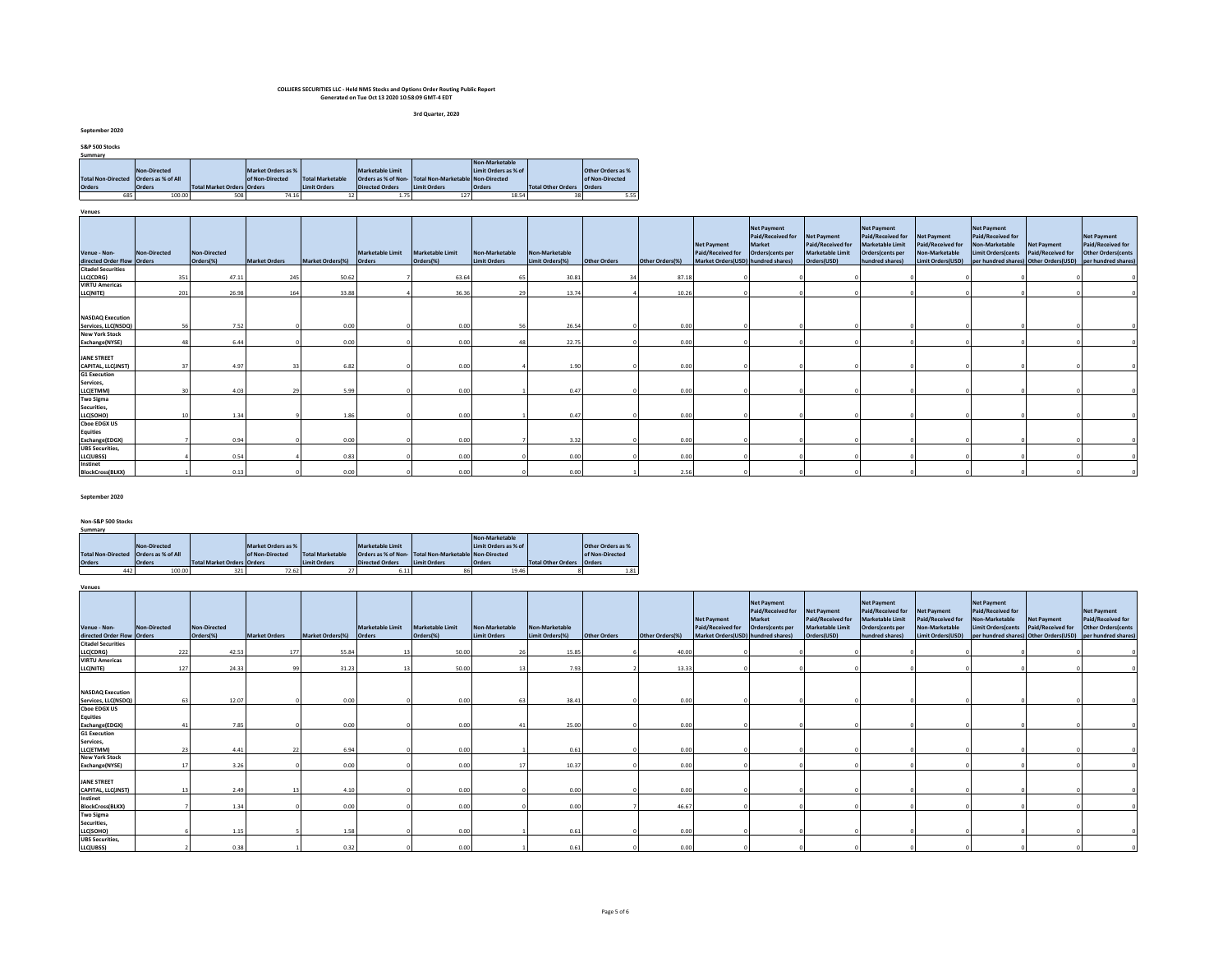**3rd Quarter, 2020**

**September 2020**

| S&P 500 Stocks |                                         |                                   |                    |                         |                         |                                                      |                      |                    |                   |
|----------------|-----------------------------------------|-----------------------------------|--------------------|-------------------------|-------------------------|------------------------------------------------------|----------------------|--------------------|-------------------|
| Summary        |                                         |                                   |                    |                         |                         |                                                      |                      |                    |                   |
|                |                                         |                                   |                    |                         |                         |                                                      | Non-Marketable       |                    |                   |
|                | Non-Directed                            |                                   | Market Orders as % |                         | <b>Marketable Limit</b> |                                                      | Limit Orders as % of |                    | Other Orders as % |
|                | Total Non-Directed   Orders as % of All |                                   | of Non-Directed    | <b>Total Marketable</b> |                         | Orders as % of Non-Total Non-Marketable Non-Directed |                      |                    | of Non-Directed   |
| <b>Orders</b>  | <b>Orders</b>                           | <b>Total Market Orders Orders</b> |                    | <b>Limit Orders</b>     | <b>Directed Orders</b>  | <b>Limit Orders</b>                                  | <b>Orders</b>        | Total Other Orders | <b>Orders</b>     |
| 685            | 100.00                                  | 508                               | 74.16              |                         | 1.75                    | 127                                                  | 18.54                | 38                 | 5.55              |
|                |                                         |                                   |                    |                         |                         |                                                      |                      |                    |                   |

**Venues**

| venues                                     |              |                           |                      |                         |                  |                               |                                       |                                   |              |                 |                                                                               |                                                                       |                                                                                   |                                                                                                           |                                                                         |                                                                                        |                                         |                                                                                                                                    |
|--------------------------------------------|--------------|---------------------------|----------------------|-------------------------|------------------|-------------------------------|---------------------------------------|-----------------------------------|--------------|-----------------|-------------------------------------------------------------------------------|-----------------------------------------------------------------------|-----------------------------------------------------------------------------------|-----------------------------------------------------------------------------------------------------------|-------------------------------------------------------------------------|----------------------------------------------------------------------------------------|-----------------------------------------|------------------------------------------------------------------------------------------------------------------------------------|
| Venue - Non-<br>directed Order Flow Orders | Non-Directed | Non-Directed<br>Orders(%) | <b>Market Orders</b> | Market Orders(%) Orders | Marketable Limit | Marketable Limit<br>Orders(%) | Non-Marketable<br><b>Limit Orders</b> | Non-Marketable<br>Limit Orders(%) | Other Orders | Other Orders(%) | <b>Net Payment</b><br>Paid/Received for<br>Market Orders(USD) hundred shares) | <b>Net Payment</b><br>Paid/Received for<br>Market<br>Orders(cents per | <b>Net Payment</b><br>Paid/Received for<br><b>Marketable Limit</b><br>Orders(USD) | <b>Net Payment</b><br>Paid/Received for<br><b>Marketable Limit</b><br>Orders(cents per<br>hundred shares) | Net Payment<br>Paid/Received for<br>Non-Marketable<br>Limit Orders(USD) | <b>Net Payment</b><br>Paid/Received for<br>Non-Marketable<br><b>Limit Orders cents</b> | <b>Net Payment</b><br>Paid/Received for | <b>Net Payment</b><br>Paid/Received for<br><b>Other Orders (cents</b><br>per hundred shares) Other Orders(USD) per hundred shares) |
|                                            |              |                           |                      |                         |                  |                               |                                       |                                   |              |                 |                                                                               |                                                                       |                                                                                   |                                                                                                           |                                                                         |                                                                                        |                                         |                                                                                                                                    |
| <b>Citadel Securities</b><br>LLC(CDRG)     | 351          | 47.11                     | 245                  | 50.62                   |                  | 63.64                         |                                       | 30.81                             |              | 87.18           |                                                                               |                                                                       |                                                                                   |                                                                                                           |                                                                         |                                                                                        |                                         |                                                                                                                                    |
| <b>VIRTU Americas</b>                      |              |                           |                      |                         |                  |                               |                                       |                                   |              |                 |                                                                               |                                                                       |                                                                                   |                                                                                                           |                                                                         |                                                                                        |                                         |                                                                                                                                    |
| LLC(NITE)                                  | 201          | 26.98                     | 164                  | 33.88                   |                  | 36.36                         |                                       | 13.74                             |              | 10.26           |                                                                               |                                                                       |                                                                                   |                                                                                                           |                                                                         |                                                                                        |                                         |                                                                                                                                    |
| <b>NASDAQ Execution</b>                    |              |                           |                      |                         |                  |                               |                                       |                                   |              |                 |                                                                               |                                                                       |                                                                                   |                                                                                                           |                                                                         |                                                                                        |                                         |                                                                                                                                    |
| Services, LLC(NSDQ)                        |              | 7.52<br>56                |                      | 0.00                    |                  | 0.00                          |                                       | 26.54                             |              | 0.00            |                                                                               |                                                                       |                                                                                   |                                                                                                           |                                                                         |                                                                                        |                                         |                                                                                                                                    |
| <b>New York Stock</b>                      |              |                           |                      |                         |                  |                               |                                       |                                   |              |                 |                                                                               |                                                                       |                                                                                   |                                                                                                           |                                                                         |                                                                                        |                                         |                                                                                                                                    |
| Exchange(NYSE)                             |              | 6.44                      |                      | 0.00                    |                  | 0.00                          |                                       | 22.75                             |              | 0.00            |                                                                               |                                                                       |                                                                                   |                                                                                                           |                                                                         |                                                                                        |                                         |                                                                                                                                    |
|                                            |              |                           |                      |                         |                  |                               |                                       |                                   |              |                 |                                                                               |                                                                       |                                                                                   |                                                                                                           |                                                                         |                                                                                        |                                         |                                                                                                                                    |
| <b>JANE STREET</b><br>CAPITAL, LLC(JNST)   | 37           | 4.97                      |                      | 6.82                    |                  | 0.00                          |                                       | 1.90                              |              | 0.00            |                                                                               |                                                                       |                                                                                   |                                                                                                           |                                                                         |                                                                                        |                                         |                                                                                                                                    |
|                                            |              |                           |                      |                         |                  |                               |                                       |                                   |              |                 |                                                                               |                                                                       |                                                                                   |                                                                                                           |                                                                         |                                                                                        |                                         |                                                                                                                                    |
| <b>G1 Execution</b>                        |              |                           |                      |                         |                  |                               |                                       |                                   |              |                 |                                                                               |                                                                       |                                                                                   |                                                                                                           |                                                                         |                                                                                        |                                         |                                                                                                                                    |
| Services,                                  |              |                           |                      |                         |                  |                               |                                       |                                   |              |                 |                                                                               |                                                                       |                                                                                   |                                                                                                           |                                                                         |                                                                                        |                                         |                                                                                                                                    |
| LLC(ETMM)                                  |              | 4.03                      |                      | 5.99                    |                  | 0.00                          |                                       | 0.47                              |              | 0.00            |                                                                               |                                                                       |                                                                                   |                                                                                                           |                                                                         |                                                                                        |                                         |                                                                                                                                    |
| <b>Two Sigma</b><br>Securities,            |              |                           |                      |                         |                  |                               |                                       |                                   |              |                 |                                                                               |                                                                       |                                                                                   |                                                                                                           |                                                                         |                                                                                        |                                         |                                                                                                                                    |
| LLC(SOHO)                                  |              | 1.34                      |                      | 1.86                    |                  | 0.00                          |                                       | 0.47                              |              | 0.00            |                                                                               |                                                                       |                                                                                   |                                                                                                           |                                                                         |                                                                                        |                                         |                                                                                                                                    |
| <b>Choe EDGX US</b><br><b>Equities</b>     |              |                           |                      |                         |                  |                               |                                       |                                   |              |                 |                                                                               |                                                                       |                                                                                   |                                                                                                           |                                                                         |                                                                                        |                                         |                                                                                                                                    |
| Exchange(EDGX)                             |              | 0.94                      |                      | 0.00                    |                  | 0.00                          |                                       | 3.32                              |              | 0.00            |                                                                               |                                                                       |                                                                                   |                                                                                                           |                                                                         |                                                                                        |                                         |                                                                                                                                    |
| <b>UBS Securities</b>                      |              |                           |                      |                         |                  |                               |                                       |                                   |              |                 |                                                                               |                                                                       |                                                                                   |                                                                                                           |                                                                         |                                                                                        |                                         |                                                                                                                                    |
| LLC(UBSS)                                  |              | 0.54                      |                      | 0.83                    |                  | 0.00                          |                                       | 0.00                              |              | 0.00            |                                                                               |                                                                       |                                                                                   |                                                                                                           |                                                                         |                                                                                        |                                         |                                                                                                                                    |
| Instinet                                   |              |                           |                      |                         |                  |                               |                                       |                                   |              |                 |                                                                               |                                                                       |                                                                                   |                                                                                                           |                                                                         |                                                                                        |                                         |                                                                                                                                    |
| <b>BlockCross(BLKX)</b>                    |              | 0.13                      |                      | 0.00                    |                  | 0.00                          |                                       | 0.00                              |              | 2.56            |                                                                               |                                                                       |                                                                                   |                                                                                                           |                                                                         |                                                                                        |                                         |                                                                                                                                    |

#### **September 2020**

**Non-S&P 500 Stocks**

**Venues**

| Summary                                 |               |                            |                    |                     |                         |                                                       |                      |                           |                          |  |  |  |  |  |
|-----------------------------------------|---------------|----------------------------|--------------------|---------------------|-------------------------|-------------------------------------------------------|----------------------|---------------------------|--------------------------|--|--|--|--|--|
|                                         |               |                            |                    |                     |                         |                                                       | Non-Marketable       |                           |                          |  |  |  |  |  |
|                                         | Non-Directed  |                            | Market Orders as % |                     | <b>Marketable Limit</b> |                                                       | Limit Orders as % of |                           | <b>Other Orders as %</b> |  |  |  |  |  |
| Total Non-Directed   Orders as % of All |               |                            | of Non-Directed    | Total Marketable    |                         | Orders as % of Non- Total Non-Marketable Non-Directed |                      |                           | of Non-Directed          |  |  |  |  |  |
| <b>Orders</b>                           | <b>Orders</b> | Total Market Orders Orders |                    | <b>Limit Orders</b> | <b>Directed Orders</b>  | Limit Orders                                          | <b>Orders</b>        | <b>Total Other Orders</b> | <b>Orders</b>            |  |  |  |  |  |
| 442                                     | 100.00        | 321                        | 72.62              | 27                  | 6.11                    | 86                                                    | 19.46                |                           | 1.81                     |  |  |  |  |  |

| Venue - Non-                             | <b>Non-Directed</b> | <b>Non-Directed</b> |                      |                         | Marketable Limit | <b>Marketable Limit</b> | Non-Marketable      | Non-Marketable  |              |                 | <b>Net Payment</b><br>Paid/Received for | <b>Net Payment</b><br>Paid/Received for<br>Market<br>Orders(cents per | <b>Net Payment</b><br>Paid/Received for<br><b>Marketable Limit</b> | <b>Net Payment</b><br>Paid/Received for<br><b>Marketable Limit</b><br>Orders(cents per | <b>Net Payment</b><br>Paid/Received for<br>Non-Marketable | <b>Net Payment</b><br>Paid/Received for<br>Non-Marketable<br><b>Limit Orders</b> (cents | <b>Net Payment</b><br><b>Paid/Received for</b> | <b>Net Payment</b><br>Paid/Received for<br><b>Other Orders (cents</b> |
|------------------------------------------|---------------------|---------------------|----------------------|-------------------------|------------------|-------------------------|---------------------|-----------------|--------------|-----------------|-----------------------------------------|-----------------------------------------------------------------------|--------------------------------------------------------------------|----------------------------------------------------------------------------------------|-----------------------------------------------------------|-----------------------------------------------------------------------------------------|------------------------------------------------|-----------------------------------------------------------------------|
| directed Order Flow Orders               |                     | Orders(%)           | <b>Market Orders</b> | <b>Market Orders(%)</b> | Orders           | Orders(%)               | <b>Limit Orders</b> | Limit Orders(%) | Other Orders | Other Orders(%) | Market Orders(USD) hundred shares)      |                                                                       | Orders(USD)                                                        | hundred shares)                                                                        | Limit Orders(USD)                                         | per hundred shares) Other Orders(USD)                                                   |                                                | per hundred shares                                                    |
| <b>Citadel Securities</b>                |                     |                     |                      |                         |                  |                         |                     |                 |              |                 |                                         |                                                                       |                                                                    |                                                                                        |                                                           |                                                                                         |                                                |                                                                       |
| LLC(CDRG)                                | 222                 | 42.53               | 177                  | 55.84                   | 13               | 50.00                   |                     | 15.85           |              | 40.00           |                                         |                                                                       |                                                                    |                                                                                        |                                                           |                                                                                         |                                                |                                                                       |
| <b>VIRTU Americas</b>                    |                     |                     |                      |                         |                  |                         |                     |                 |              |                 |                                         |                                                                       |                                                                    |                                                                                        |                                                           |                                                                                         |                                                |                                                                       |
| LLC(NITE)                                | 127                 | 24.33               |                      | 31.23                   | 13               | 50.00                   |                     | 7.93            |              | 13.33           |                                         |                                                                       |                                                                    |                                                                                        |                                                           |                                                                                         |                                                |                                                                       |
| <b>NASDAQ Execution</b>                  |                     |                     |                      |                         |                  |                         |                     |                 |              |                 |                                         |                                                                       |                                                                    |                                                                                        |                                                           |                                                                                         |                                                |                                                                       |
| Services, LLC(NSDQ)                      |                     | 12.07               |                      | 0.00                    |                  | 0.00                    |                     | 38.41           |              | 0.00            |                                         |                                                                       |                                                                    |                                                                                        |                                                           |                                                                                         |                                                |                                                                       |
| <b>Choe EDGX US</b>                      |                     |                     |                      |                         |                  |                         |                     |                 |              |                 |                                         |                                                                       |                                                                    |                                                                                        |                                                           |                                                                                         |                                                |                                                                       |
| <b>Equities</b><br>Exchange(EDGX)        |                     | 7.85                |                      | 0.00                    |                  | 0.00                    |                     | 25.00           |              | 0.00            |                                         |                                                                       |                                                                    |                                                                                        |                                                           |                                                                                         |                                                |                                                                       |
| <b>G1 Execution</b>                      |                     |                     |                      |                         |                  |                         |                     |                 |              |                 |                                         |                                                                       |                                                                    |                                                                                        |                                                           |                                                                                         |                                                |                                                                       |
| Services,                                |                     |                     |                      |                         |                  |                         |                     |                 |              |                 |                                         |                                                                       |                                                                    |                                                                                        |                                                           |                                                                                         |                                                |                                                                       |
| LLC(ETMM)                                | 23                  | 4.41                |                      | 6.94                    |                  | 0.00                    |                     | 0.61            |              | 0.00            |                                         |                                                                       |                                                                    |                                                                                        |                                                           |                                                                                         |                                                |                                                                       |
| <b>New York Stock</b>                    |                     |                     |                      |                         |                  |                         |                     |                 |              |                 |                                         |                                                                       |                                                                    |                                                                                        |                                                           |                                                                                         |                                                |                                                                       |
| Exchange(NYSE)                           |                     | 3.26                |                      | 0.00                    |                  | 0.00                    |                     | 10.37           |              | 0.00            |                                         |                                                                       |                                                                    |                                                                                        |                                                           |                                                                                         |                                                |                                                                       |
| <b>JANE STREET</b><br>CAPITAL, LLC(JNST) |                     | 2.49                |                      | 4.10                    |                  | 0.00                    |                     | 0.00            |              | 0.00            |                                         |                                                                       |                                                                    |                                                                                        |                                                           |                                                                                         |                                                |                                                                       |
| Instinet                                 |                     |                     |                      |                         |                  |                         |                     |                 |              |                 |                                         |                                                                       |                                                                    |                                                                                        |                                                           |                                                                                         |                                                |                                                                       |
| <b>BlockCross(BLKX)</b>                  |                     | 1.34                |                      | 0.00                    |                  | 0.00                    |                     | 0.00            |              | 46.67           |                                         |                                                                       |                                                                    |                                                                                        |                                                           |                                                                                         |                                                |                                                                       |
| <b>Two Sigma</b><br>Securities,          |                     | 1.15                |                      | 1.58                    |                  | 0.00                    |                     | 0.61            |              | 0.00            |                                         |                                                                       |                                                                    |                                                                                        |                                                           |                                                                                         |                                                |                                                                       |
| LLC(SOHO)<br><b>UBS</b> Securities,      |                     |                     |                      |                         |                  |                         |                     |                 |              |                 |                                         |                                                                       |                                                                    |                                                                                        |                                                           |                                                                                         |                                                |                                                                       |
| LLC(UBSS)                                |                     | 0.38                |                      | 0.32                    |                  | 0.00                    |                     | 0.61            |              | 0.00            |                                         |                                                                       |                                                                    |                                                                                        |                                                           |                                                                                         |                                                |                                                                       |